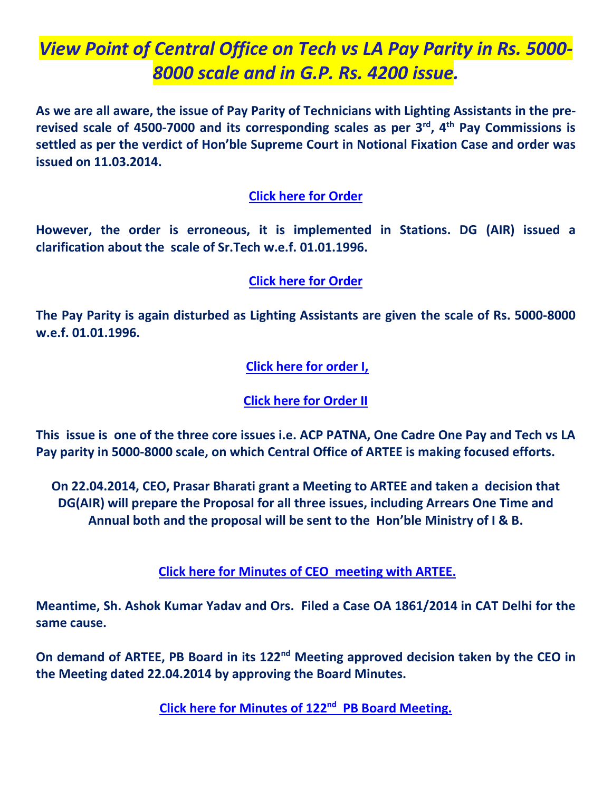## *View Point of Central Office on Tech vs LA Pay Parity in Rs. 5000- 8000 scale and in G.P. Rs. 4200 issue.*

**As we are all aware, the issue of Pay Parity of Technicians with Lighting Assistants in the prerevised scale of 4500-7000 and its corresponding scales as per 3rd , 4 th Pay Commissions is settled as per the verdict of Hon'ble Supreme Court in Notional Fixation Case and order was issued on 11.03.2014.**

#### **[Click here for Order](http://arteeindia.org/central/2015/Notional%20Fixation%20Order.pdf)**

**However, the order is erroneous, it is implemented in Stations. DG (AIR) issued a clarification about the scale of Sr.Tech w.e.f. 01.01.1996.**

#### **[Click here for Order](http://arteeindia.org/central/2015/Sr%20Tech%20Clarification%2019082014.pdf)**

**The Pay Parity is again disturbed as Lighting Assistants are given the scale of Rs. 5000-8000 w.e.f. 01.01.1996.**

### **[Click here for order I,](http://arteeindia.org/central/2015/LA%20_order_18032013.pdf)**

**[Click here for Order II](arteeindia.org/central/2015/LA%20_order_27012014.pdf)**

**This issue is one of the three core issues i.e. ACP PATNA, One Cadre One Pay and Tech vs LA Pay parity in 5000-8000 scale, on which Central Office of ARTEE is making focused efforts.**

**On 22.04.2014, CEO, Prasar Bharati grant a Meeting to ARTEE and taken a decision that DG(AIR) will prepare the Proposal for all three issues, including Arrears One Time and Annual both and the proposal will be sent to the Hon'ble Ministry of I & B.**

**Click here for Minutes [of CEO meeting with ARTEE.](http://arteeindia.org/central/2015/ARTEE_CEO%20mtg%20Ap%20)**

**Meantime, Sh. Ashok Kumar Yadav and Ors. Filed a Case OA 1861/2014 in CAT Delhi for the same cause.** 

**On demand of ARTEE, PB Board in its 122nd Meeting approved decision taken by the CEO in the Meeting dated 22.04.2014 by approving the Board Minutes.** 

**[Click here for Minutes](http://arteeindia.org/central/2015/Minutes%20PB%20Board%20122%20080714.pdf) of 122nd PB Board Meeting.**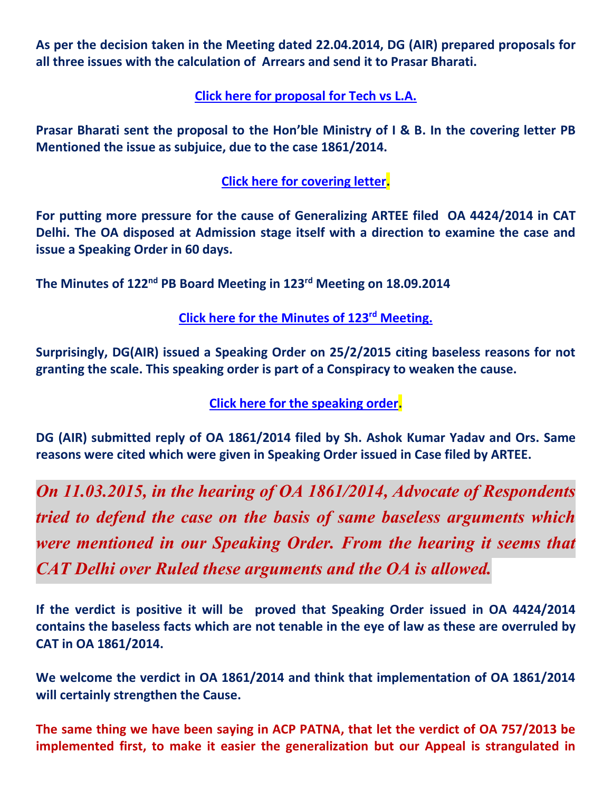**As per the decision taken in the Meeting dated 22.04.2014, DG (AIR) prepared proposals for all three issues with the calculation of Arrears and send it to Prasar Bharati.**

**[Click here for proposal](http://arteeindia.org/central/2015/proposal_Tech-LA.pdf) for Tech vs L.A.**

**Prasar Bharati sent the proposal to the Hon'ble Ministry of I & B. In the covering letter PB Mentioned the issue as subjuice, due to the case 1861/2014.**

**[Click here for covering letter.](http://arteeindia.org/central/2015/Tech-LA-Proposal.pdf)**

**For putting more pressure for the cause of Generalizing ARTEE filed OA 4424/2014 in CAT Delhi. The OA disposed at Admission stage itself with a direction to examine the case and issue a Speaking Order in 60 days.**

**The Minutes of 122nd PB Board Meeting in 123rd Meeting on 18.09.2014** 

**[Click here for the Minutes of 123](http://arteeindia.org/central/2015/Minutes%20of%20the%20123rd%20PBB%20meeting_18th%20Sep)rd Meeting.**

**Surprisingly, DG(AIR) issued a Speaking Order on 25/2/2015 citing baseless reasons for not granting the scale. This speaking order is part of a Conspiracy to weaken the cause.**

**[Click here for the speaking order.](http://arteeindia.org/central/2015/speaking_order.pdf)**

**DG (AIR) submitted reply of OA 1861/2014 filed by Sh. Ashok Kumar Yadav and Ors. Same reasons were cited which were given in Speaking Order issued in Case filed by ARTEE.**

*On 11.03.2015, in the hearing of OA 1861/2014, Advocate of Respondents tried to defend the case on the basis of same baseless arguments which were mentioned in our Speaking Order. From the hearing it seems that CAT Delhi over Ruled these arguments and the OA is allowed.*

**If the verdict is positive it will be proved that Speaking Order issued in OA 4424/2014 contains the baseless facts which are not tenable in the eye of law as these are overruled by CAT in OA 1861/2014.**

**We welcome the verdict in OA 1861/2014 and think that implementation of OA 1861/2014 will certainly strengthen the Cause.**

**The same thing we have been saying in ACP PATNA, that let the verdict of OA 757/2013 be implemented first, to make it easier the generalization but our Appeal is strangulated in**